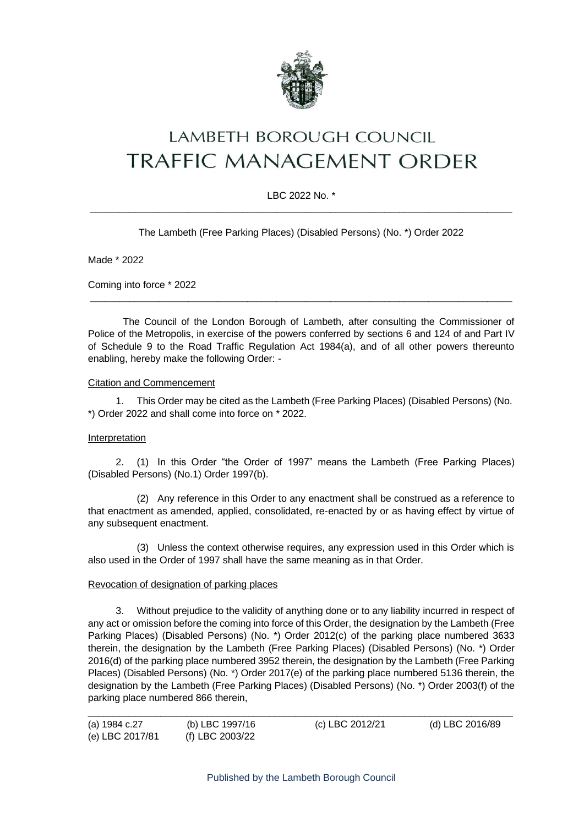

# LAMBETH BOROUGH COUNCIL **TRAFFIC MANAGEMENT ORDER**

# LBC 2022 No. \*  $\_$  ,  $\_$  ,  $\_$  ,  $\_$  ,  $\_$  ,  $\_$  ,  $\_$  ,  $\_$  ,  $\_$  ,  $\_$  ,  $\_$  ,  $\_$  ,  $\_$  ,  $\_$  ,  $\_$  ,  $\_$  ,  $\_$  ,  $\_$  ,  $\_$  ,  $\_$  ,  $\_$  ,  $\_$  ,  $\_$  ,  $\_$  ,  $\_$  ,  $\_$  ,  $\_$  ,  $\_$  ,  $\_$  ,  $\_$  ,  $\_$  ,  $\_$  ,  $\_$  ,  $\_$  ,  $\_$  ,  $\_$  ,  $\_$  ,

The Lambeth (Free Parking Places) (Disabled Persons) (No. \*) Order 2022

Made \* 2022

Coming into force \* 2022

The Council of the London Borough of Lambeth, after consulting the Commissioner of Police of the Metropolis, in exercise of the powers conferred by sections 6 and 124 of and Part IV of Schedule 9 to the Road Traffic Regulation Act 1984(a), and of all other powers thereunto enabling, hereby make the following Order: -

 $\_$  ,  $\_$  ,  $\_$  ,  $\_$  ,  $\_$  ,  $\_$  ,  $\_$  ,  $\_$  ,  $\_$  ,  $\_$  ,  $\_$  ,  $\_$  ,  $\_$  ,  $\_$  ,  $\_$  ,  $\_$  ,  $\_$  ,  $\_$  ,  $\_$  ,  $\_$  ,  $\_$  ,  $\_$  ,  $\_$  ,  $\_$  ,  $\_$  ,  $\_$  ,  $\_$  ,  $\_$  ,  $\_$  ,  $\_$  ,  $\_$  ,  $\_$  ,  $\_$  ,  $\_$  ,  $\_$  ,  $\_$  ,  $\_$  ,

### Citation and Commencement

1. This Order may be cited as the Lambeth (Free Parking Places) (Disabled Persons) (No. \*) Order 2022 and shall come into force on \* 2022.

### Interpretation

2. (1) In this Order "the Order of 1997" means the Lambeth (Free Parking Places) (Disabled Persons) (No.1) Order 1997(b).

(2) Any reference in this Order to any enactment shall be construed as a reference to that enactment as amended, applied, consolidated, re-enacted by or as having effect by virtue of any subsequent enactment.

(3) Unless the context otherwise requires, any expression used in this Order which is also used in the Order of 1997 shall have the same meaning as in that Order.

## Revocation of designation of parking places

3. Without prejudice to the validity of anything done or to any liability incurred in respect of any act or omission before the coming into force of this Order, the designation by the Lambeth (Free Parking Places) (Disabled Persons) (No. \*) Order 2012(c) of the parking place numbered 3633 therein, the designation by the Lambeth (Free Parking Places) (Disabled Persons) (No. \*) Order 2016(d) of the parking place numbered 3952 therein, the designation by the Lambeth (Free Parking Places) (Disabled Persons) (No. \*) Order 2017(e) of the parking place numbered 5136 therein, the designation by the Lambeth (Free Parking Places) (Disabled Persons) (No. \*) Order 2003(f) of the parking place numbered 866 therein,

| (a) 1984 c.27   | (b) LBC 1997/16 | (c) LBC 2012/21 | (d) LBC 2016/89 |
|-----------------|-----------------|-----------------|-----------------|
| (e) LBC 2017/81 | (f) LBC 2003/22 |                 |                 |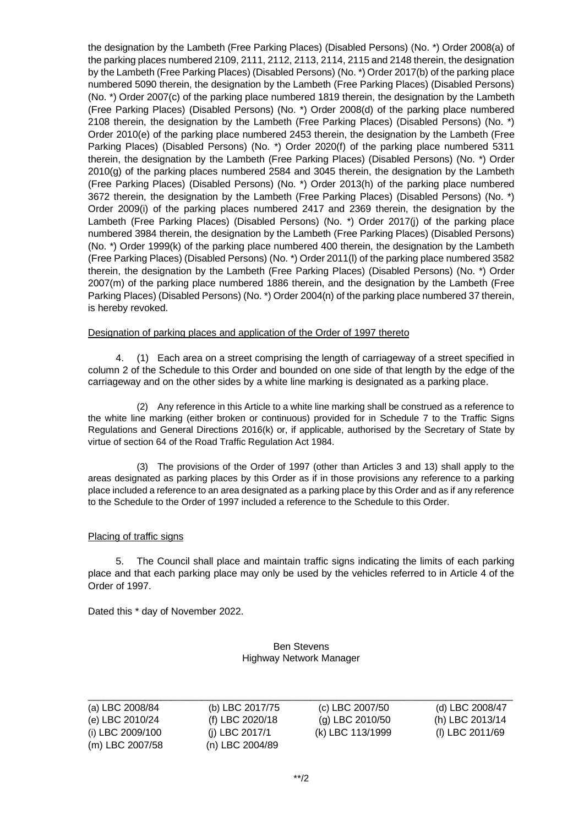the designation by the Lambeth (Free Parking Places) (Disabled Persons) (No. \*) Order 2008(a) of the parking places numbered 2109, 2111, 2112, 2113, 2114, 2115 and 2148 therein, the designation by the Lambeth (Free Parking Places) (Disabled Persons) (No. \*) Order 2017(b) of the parking place numbered 5090 therein, the designation by the Lambeth (Free Parking Places) (Disabled Persons) (No. \*) Order 2007(c) of the parking place numbered 1819 therein, the designation by the Lambeth (Free Parking Places) (Disabled Persons) (No. \*) Order 2008(d) of the parking place numbered 2108 therein, the designation by the Lambeth (Free Parking Places) (Disabled Persons) (No. \*) Order 2010(e) of the parking place numbered 2453 therein, the designation by the Lambeth (Free Parking Places) (Disabled Persons) (No. \*) Order 2020(f) of the parking place numbered 5311 therein, the designation by the Lambeth (Free Parking Places) (Disabled Persons) (No. \*) Order 2010(g) of the parking places numbered 2584 and 3045 therein, the designation by the Lambeth (Free Parking Places) (Disabled Persons) (No. \*) Order 2013(h) of the parking place numbered 3672 therein, the designation by the Lambeth (Free Parking Places) (Disabled Persons) (No. \*) Order 2009(i) of the parking places numbered 2417 and 2369 therein, the designation by the Lambeth (Free Parking Places) (Disabled Persons) (No. \*) Order 2017(j) of the parking place numbered 3984 therein, the designation by the Lambeth (Free Parking Places) (Disabled Persons) (No. \*) Order 1999(k) of the parking place numbered 400 therein, the designation by the Lambeth (Free Parking Places) (Disabled Persons) (No. \*) Order 2011(l) of the parking place numbered 3582 therein, the designation by the Lambeth (Free Parking Places) (Disabled Persons) (No. \*) Order 2007(m) of the parking place numbered 1886 therein, and the designation by the Lambeth (Free Parking Places) (Disabled Persons) (No. \*) Order 2004(n) of the parking place numbered 37 therein, is hereby revoked.

### Designation of parking places and application of the Order of 1997 thereto

4. (1) Each area on a street comprising the length of carriageway of a street specified in column 2 of the Schedule to this Order and bounded on one side of that length by the edge of the carriageway and on the other sides by a white line marking is designated as a parking place.

(2) Any reference in this Article to a white line marking shall be construed as a reference to the white line marking (either broken or continuous) provided for in Schedule 7 to the Traffic Signs Regulations and General Directions 2016(k) or, if applicable, authorised by the Secretary of State by virtue of section 64 of the Road Traffic Regulation Act 1984.

(3) The provisions of the Order of 1997 (other than Articles 3 and 13) shall apply to the areas designated as parking places by this Order as if in those provisions any reference to a parking place included a reference to an area designated as a parking place by this Order and as if any reference to the Schedule to the Order of 1997 included a reference to the Schedule to this Order.

# Placing of traffic signs

5. The Council shall place and maintain traffic signs indicating the limits of each parking place and that each parking place may only be used by the vehicles referred to in Article 4 of the Order of 1997.

Dated this \* day of November 2022.

### Ben Stevens Highway Network Manager

| (a) LBC 2008/84  | (b) LBC 2017/75 |
|------------------|-----------------|
| (e) LBC 2010/24  | (f) LBC 2020/18 |
| (i) LBC 2009/100 | (i) LBC 2017/1  |
| (m) LBC 2007/58  | (n) LBC 2004/89 |

\_\_\_\_\_\_\_\_\_\_\_\_\_\_\_\_\_\_\_\_\_\_\_\_\_\_\_\_\_\_\_\_\_\_\_\_\_\_\_\_\_\_\_\_\_\_\_\_\_\_\_\_\_\_\_\_\_\_\_\_\_\_\_\_\_\_\_\_\_\_\_\_\_\_\_\_\_\_\_\_\_\_ (a) LBC 2007/50 (d) LBC 2008/47 8 (g) LBC 2010/50 (h) LBC 2013/14 (k) LBC 113/1999 (l) LBC 2011/69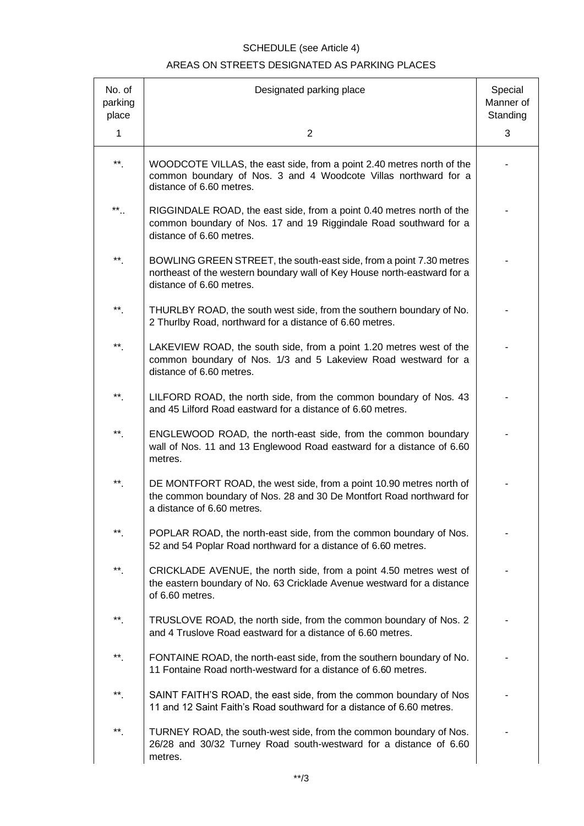# SCHEDULE (see Article 4) AREAS ON STREETS DESIGNATED AS PARKING PLACES

| No. of<br>parking<br>place | Designated parking place                                                                                                                                                    | Special<br>Manner of<br>Standing |
|----------------------------|-----------------------------------------------------------------------------------------------------------------------------------------------------------------------------|----------------------------------|
| 1                          | $\overline{2}$                                                                                                                                                              | 3                                |
| $**$ .                     | WOODCOTE VILLAS, the east side, from a point 2.40 metres north of the<br>common boundary of Nos. 3 and 4 Woodcote Villas northward for a<br>distance of 6.60 metres.        |                                  |
| **                         | RIGGINDALE ROAD, the east side, from a point 0.40 metres north of the<br>common boundary of Nos. 17 and 19 Riggindale Road southward for a<br>distance of 6.60 metres.      |                                  |
| $^{\ast\ast}$ .            | BOWLING GREEN STREET, the south-east side, from a point 7.30 metres<br>northeast of the western boundary wall of Key House north-eastward for a<br>distance of 6.60 metres. |                                  |
| **.                        | THURLBY ROAD, the south west side, from the southern boundary of No.<br>2 Thurlby Road, northward for a distance of 6.60 metres.                                            |                                  |
| **.                        | LAKEVIEW ROAD, the south side, from a point 1.20 metres west of the<br>common boundary of Nos. 1/3 and 5 Lakeview Road westward for a<br>distance of 6.60 metres.           |                                  |
| $**$                       | LILFORD ROAD, the north side, from the common boundary of Nos. 43<br>and 45 Lilford Road eastward for a distance of 6.60 metres.                                            |                                  |
| $^{\ast\ast}$ .            | ENGLEWOOD ROAD, the north-east side, from the common boundary<br>wall of Nos. 11 and 13 Englewood Road eastward for a distance of 6.60<br>metres.                           |                                  |
| $^{\ast\ast}$ .            | DE MONTFORT ROAD, the west side, from a point 10.90 metres north of<br>the common boundary of Nos. 28 and 30 De Montfort Road northward for<br>a distance of 6.60 metres.   |                                  |
| **                         | POPLAR ROAD, the north-east side, from the common boundary of Nos.<br>52 and 54 Poplar Road northward for a distance of 6.60 metres.                                        |                                  |
| **                         | CRICKLADE AVENUE, the north side, from a point 4.50 metres west of<br>the eastern boundary of No. 63 Cricklade Avenue westward for a distance<br>of 6.60 metres.            |                                  |
| $^{\star\star}$ .          | TRUSLOVE ROAD, the north side, from the common boundary of Nos. 2<br>and 4 Truslove Road eastward for a distance of 6.60 metres.                                            |                                  |
| $^{\star\star}$            | FONTAINE ROAD, the north-east side, from the southern boundary of No.<br>11 Fontaine Road north-westward for a distance of 6.60 metres.                                     |                                  |
| **                         | SAINT FAITH'S ROAD, the east side, from the common boundary of Nos<br>11 and 12 Saint Faith's Road southward for a distance of 6.60 metres.                                 |                                  |
| **                         | TURNEY ROAD, the south-west side, from the common boundary of Nos.<br>26/28 and 30/32 Turney Road south-westward for a distance of 6.60<br>metres.                          |                                  |